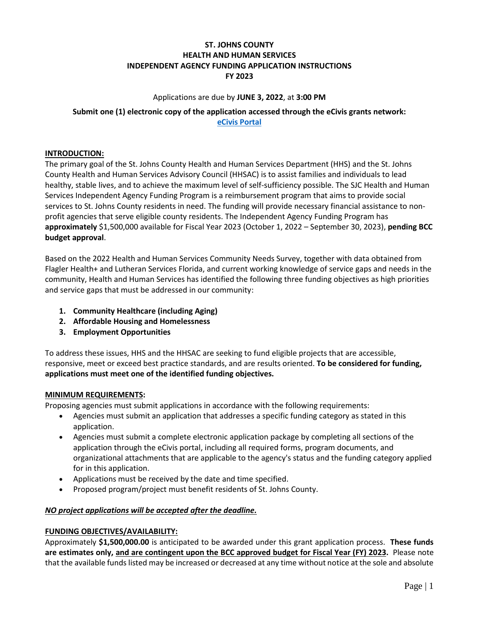## **ST. JOHNS COUNTY HEALTH AND HUMAN SERVICES INDEPENDENT AGENCY FUNDING APPLICATION INSTRUCTIONS FY 2023**

#### Applications are due by **JUNE 3, 2022**, at **3:00 PM**

# **Submit one (1) electronic copy of the application accessed through the eCivis grants network: [eCivis Portal](https://gn.ecivis.com/GO/gn_redir/T/1gbm0le9x0zbe)**

#### **INTRODUCTION:**

The primary goal of the St. Johns County Health and Human Services Department (HHS) and the St. Johns County Health and Human Services Advisory Council (HHSAC) is to assist families and individuals to lead healthy, stable lives, and to achieve the maximum level of self-sufficiency possible. The SJC Health and Human Services Independent Agency Funding Program is a reimbursement program that aims to provide social services to St. Johns County residents in need. The funding will provide necessary financial assistance to nonprofit agencies that serve eligible county residents. The Independent Agency Funding Program has **approximately** \$1,500,000 available for Fiscal Year 2023 (October 1, 2022 – September 30, 2023), **pending BCC budget approval**.

Based on the 2022 Health and Human Services Community Needs Survey, together with data obtained from Flagler Health+ and Lutheran Services Florida, and current working knowledge of service gaps and needs in the community, Health and Human Services has identified the following three funding objectives as high priorities and service gaps that must be addressed in our community:

- **1. Community Healthcare (including Aging)**
- **2. Affordable Housing and Homelessness**
- **3. Employment Opportunities**

To address these issues, HHS and the HHSAC are seeking to fund eligible projects that are accessible, responsive, meet or exceed best practice standards, and are results oriented. **To be considered for funding, applications must meet one of the identified funding objectives.**

### **MINIMUM REQUIREMENTS:**

Proposing agencies must submit applications in accordance with the following requirements:

- Agencies must submit an application that addresses a specific funding category as stated in this application.
- Agencies must submit a complete electronic application package by completing all sections of the application through the eCivis portal, including all required forms, program documents, and organizational attachments that are applicable to the agency's status and the funding category applied for in this application.
- Applications must be received by the date and time specified.
- Proposed program/project must benefit residents of St. Johns County.

### *NO project applications will be accepted after the deadline.*

### **FUNDING OBJECTIVES/AVAILABILITY:**

Approximately **\$1,500,000.00** is anticipated to be awarded under this grant application process. **These funds are estimates only, and are contingent upon the BCC approved budget for Fiscal Year (FY) 2023.** Please note that the available funds listed may be increased or decreased at any time without notice at the sole and absolute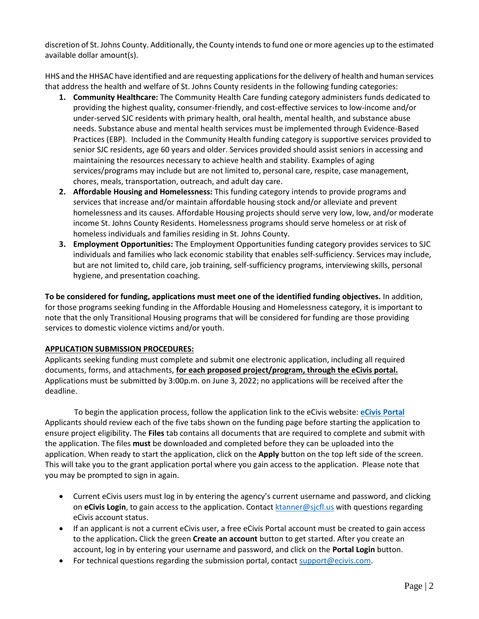discretion of St. Johns County. Additionally, the County intends to fund one or more agencies up to the estimated available dollar amount(s).

HHS and the HHSAC have identified and are requesting applications for the delivery of health and human services that address the health and welfare of St. Johns County residents in the following funding categories:

- **1. Community Healthcare:** The Community Health Care funding category administers funds dedicated to providing the highest quality, consumer-friendly, and cost-effective services to low-income and/or under-served SJC residents with primary health, oral health, mental health, and substance abuse needs. Substance abuse and mental health services must be implemented through Evidence-Based Practices (EBP). Included in the Community Health funding category is supportive services provided to senior SJC residents, age 60 years and older. Services provided should assist seniors in accessing and maintaining the resources necessary to achieve health and stability. Examples of aging services/programs may include but are not limited to, personal care, respite, case management, chores, meals, transportation, outreach, and adult day care.
- **2. Affordable Housing and Homelessness:** This funding category intends to provide programs and services that increase and/or maintain affordable housing stock and/or alleviate and prevent homelessness and its causes. Affordable Housing projects should serve very low, low, and/or moderate income St. Johns County Residents. Homelessness programs should serve homeless or at risk of homeless individuals and families residing in St. Johns County.
- **3. Employment Opportunities:** The Employment Opportunities funding category provides services to SJC individuals and families who lack economic stability that enables self-sufficiency. Services may include, but are not limited to, child care, job training, self-sufficiency programs, interviewing skills, personal hygiene, and presentation coaching.

**To be considered for funding, applications must meet one of the identified funding objectives.** In addition, for those programs seeking funding in the Affordable Housing and Homelessness category, it is important to note that the only Transitional Housing programs that will be considered for funding are those providing services to domestic violence victims and/or youth.

### **APPLICATION SUBMISSION PROCEDURES:**

Applicants seeking funding must complete and submit one electronic application, including all required documents, forms, and attachments, **for each proposed project/program, through the eCivis portal.** Applications must be submitted by 3:00p.m. on June 3, 2022; no applications will be received after the deadline.

To begin the application process, follow the application link to the eCivis website: **[eCivis Portal](https://gn.ecivis.com/GO/gn_redir/T/1gbm0le9x0zbe)** Applicants should review each of the five tabs shown on the funding page before starting the application to ensure project eligibility. The **Files** tab contains all documents that are required to complete and submit with the application. The files **must** be downloaded and completed before they can be uploaded into the application. When ready to start the application, click on the **Apply** button on the top left side of the screen. This will take you to the grant application portal where you gain access to the application. Please note that you may be prompted to sign in again.

- Current eCivis users must log in by entering the agency's current username and password, and clicking on **eCivis Login**, to gain access to the application. Contact [ktanner@sjcfl.us](mailto:ktanner@sjcfl.us) with questions regarding eCivis account status.
- If an applicant is not a current eCivis user, a free eCivis Portal account must be created to gain access to the application**.** Click the green **Create an account** button to get started. After you create an account, log in by entering your username and password, and click on the **Portal Login** button.
- For technical questions regarding the submission portal, contact [support@ecivis.com.](mailto:support@ecivis.com)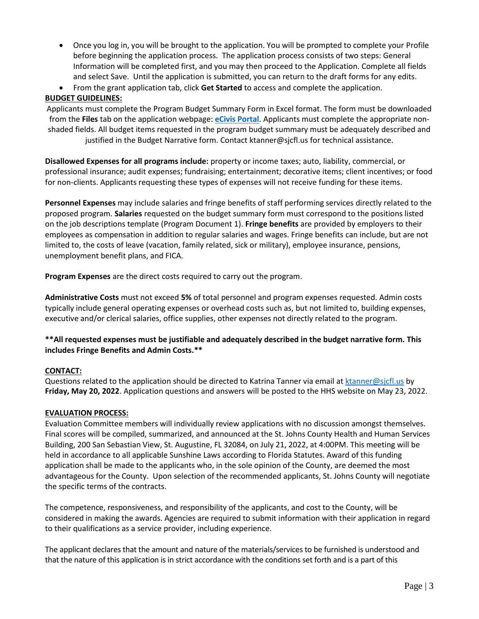- Once you log in, you will be brought to the application. You will be prompted to complete your Profile before beginning the application process. The application process consists of two steps: General Information will be completed first, and you may then proceed to the Application. Complete all fields and select Save. Until the application is submitted, you can return to the draft forms for any edits.
- From the grant application tab, click **Get Started** to access and complete the application.

### **BUDGET GUIDELINES:**

Applicants must complete the Program Budget Summary Form in Excel format. The form must be downloaded from the **Files** tab on the application webpage: **[eCivis Portal](https://gn.ecivis.com/GO/gn_redir/T/1gbm0le9x0zbe)**. Applicants must complete the appropriate nonshaded fields. All budget items requested in the program budget summary must be adequately described and justified in the Budget Narrative form. Contact ktanner@sjcfl.us for technical assistance.

**Disallowed Expenses for all programs include:** property or income taxes; auto, liability, commercial, or professional insurance; audit expenses; fundraising; entertainment; decorative items; client incentives; or food for non-clients. Applicants requesting these types of expenses will not receive funding for these items.

**Personnel Expenses** may include salaries and fringe benefits of staff performing services directly related to the proposed program. **Salaries** requested on the budget summary form must correspond to the positions listed on the job descriptions template (Program Document 1). **Fringe benefits** are provided by employers to their employees as compensation in addition to regular salaries and wages. Fringe benefits can include, but are not limited to, the costs of leave (vacation, family related, sick or military), employee insurance, pensions, unemployment benefit plans, and FICA.

**Program Expenses** are the direct costs required to carry out the program.

**Administrative Costs** must not exceed **5%** of total personnel and program expenses requested. Admin costs typically include general operating expenses or overhead costs such as, but not limited to, building expenses, executive and/or clerical salaries, office supplies, other expenses not directly related to the program.

### **\*\*All requested expenses must be justifiable and adequately described in the budget narrative form. This includes Fringe Benefits and Admin Costs.\*\***

### **CONTACT:**

Questions related to the application should be directed to Katrina Tanner via email at [ktanner@sjcfl.us](mailto:ktanner@sjcfl.us) by **Friday, May 20, 2022**. Application questions and answers will be posted to the HHS website on May 23, 2022.

### **EVALUATION PROCESS:**

Evaluation Committee members will individually review applications with no discussion amongst themselves. Final scores will be compiled, summarized, and announced at the St. Johns County Health and Human Services Building, 200 San Sebastian View, St. Augustine, FL 32084, on July 21, 2022, at 4:00PM. This meeting will be held in accordance to all applicable Sunshine Laws according to Florida Statutes. Award of this funding application shall be made to the applicants who, in the sole opinion of the County, are deemed the most advantageous for the County. Upon selection of the recommended applicants, St. Johns County will negotiate the specific terms of the contracts.

The competence, responsiveness, and responsibility of the applicants, and cost to the County, will be considered in making the awards. Agencies are required to submit information with their application in regard to their qualifications as a service provider, including experience.

The applicant declares that the amount and nature of the materials/services to be furnished is understood and that the nature of this application is in strict accordance with the conditions set forth and is a part of this